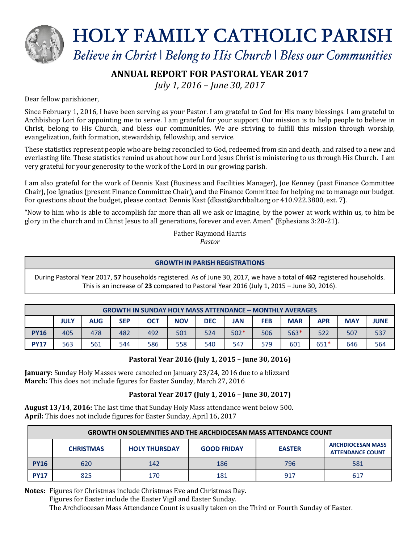

**HOLY FAMILY CATHOLIC PARISH** 

Believe in Christ | Belong to His Church | Bless our Communities

# **ANNUAL REPORT FOR PASTORAL YEAR 2017**

*July 1, 2016 – June 30, 2017*

## Dear fellow parishioner,

Since February 1, 2016, I have been serving as your Pastor. I am grateful to God for His many blessings. I am grateful to Archbishop Lori for appointing me to serve. I am grateful for your support. Our mission is to help people to believe in Christ, belong to His Church, and bless our communities. We are striving to fulfill this mission through worship, evangelization, faith formation, stewardship, fellowship, and service.

These statistics represent people who are being reconciled to God, redeemed from sin and death, and raised to a new and everlasting life. These statistics remind us about how our Lord Jesus Christ is ministering to us through His Church. I am very grateful for your generosity to the work of the Lord in our growing parish.

I am also grateful for the work of Dennis Kast (Business and Facilities Manager), Joe Kenney (past Finance Committee Chair), Joe Ignatius (present Finance Committee Chair), and the Finance Committee for helping me to manage our budget. For questions about the budget, please contact Dennis Kast (dkast@archbalt.org or 410.922.3800, ext. 7).

"Now to him who is able to accomplish far more than all we ask or imagine, by the power at work within us, to him be glory in the church and in Christ Jesus to all generations, forever and ever. Amen" (Ephesians 3:20-21).

> Father Raymond Harris *Pastor*

### **GROWTH IN PARISH REGISTRATIONS**

During Pastoral Year 2017, **57** households registered. As of June 30, 2017, we have a total of **462** registered households. This is an increase of **23** compared to Pastoral Year 2016 (July 1, 2015 – June 30, 2016).

| <b>GROWTH IN SUNDAY HOLY MASS ATTENDANCE - MONTHLY AVERAGES</b> |             |            |            |            |            |            |        |            |            |        |            |             |
|-----------------------------------------------------------------|-------------|------------|------------|------------|------------|------------|--------|------------|------------|--------|------------|-------------|
|                                                                 | <b>JULY</b> | <b>AUG</b> | <b>SEP</b> | <b>OCT</b> | <b>NOV</b> | <b>DEC</b> | JAN    | <b>FEB</b> | <b>MAR</b> | APR    | <b>MAY</b> | <b>JUNE</b> |
| <b>PY16</b>                                                     | 405         | 478        | 482        | 492        | 501        | 524        | $502*$ | 506        | $563*$     | 522    | 507        | 537         |
| <b>PY17</b>                                                     | 563         | 561        | 544        | 586        | 558        | 540        | 547    | 579        | 601        | $651*$ | 646        | 564         |

# **Pastoral Year 2016 (July 1, 2015 – June 30, 2016)**

**January:** Sunday Holy Masses were canceled on January 23/24, 2016 due to a blizzard **March:** This does not include figures for Easter Sunday, March 27, 2016

# **Pastoral Year 2017 (July 1, 2016 – June 30, 2017)**

**August 13/14, 2016:** The last time that Sunday Holy Mass attendance went below 500. **April:** This does not include figures for Easter Sunday, April 16, 2017

| <b>GROWTH ON SOLEMNITIES AND THE ARCHDIOCESAN MASS ATTENDANCE COUNT</b> |                  |                      |                    |               |                                                     |  |  |  |
|-------------------------------------------------------------------------|------------------|----------------------|--------------------|---------------|-----------------------------------------------------|--|--|--|
|                                                                         | <b>CHRISTMAS</b> | <b>HOLY THURSDAY</b> | <b>GOOD FRIDAY</b> | <b>EASTER</b> | <b>ARCHDIOCESAN MASS</b><br><b>ATTENDANCE COUNT</b> |  |  |  |
| <b>PY16</b>                                                             | 620              | 142                  | 186                | 796           | 581                                                 |  |  |  |
| <b>PY17</b>                                                             | 825              | 170                  | 181                | 917           | 617                                                 |  |  |  |

**Notes:** Figures for Christmas include Christmas Eve and Christmas Day.

Figures for Easter include the Easter Vigil and Easter Sunday.

The Archdiocesan Mass Attendance Count is usually taken on the Third or Fourth Sunday of Easter.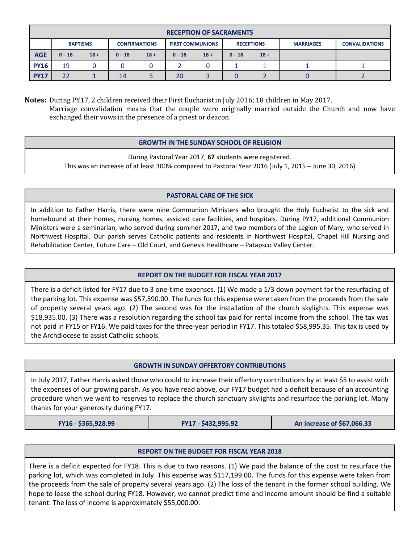| <b>RECEPTION OF SACRAMENTS</b> |                 |        |                      |        |                         |        |                   |        |                  |                       |
|--------------------------------|-----------------|--------|----------------------|--------|-------------------------|--------|-------------------|--------|------------------|-----------------------|
|                                | <b>BAPTISMS</b> |        | <b>CONFIRMATIONS</b> |        | <b>FIRST COMMUNIONS</b> |        | <b>RECEPTIONS</b> |        | <b>MARRIAGES</b> | <b>CONVALIDATIONS</b> |
| <b>AGE</b>                     | $0 - 18$        | $18 +$ | $0 - 18$             | $18 +$ | $0 - 18$                | $18 +$ | $0 - 18$          | $18 +$ |                  |                       |
| <b>PY16</b>                    | 19              |        |                      |        |                         |        |                   |        |                  |                       |
| <b>PY17</b>                    | 22              |        | 14                   |        | 20                      |        |                   |        |                  |                       |

**Notes:** During PY17, 2 children received their First Eucharist in July 2016; 18 children in May 2017. Marriage convalidation means that the couple were originally married outside the Church and now have exchanged their vows in the presence of a priest or deacon.

## **GROWTH IN THE SUNDAY SCHOOL OF RELIGION**

During Pastoral Year 2017, **67** students were registered. This was an increase of at least 300% compared to Pastoral Year 2016 (July 1, 2015 – June 30, 2016).

### **PASTORAL CARE OF THE SICK**

In addition to Father Harris, there were nine Communion Ministers who brought the Holy Eucharist to the sick and homebound at their homes, nursing homes, assisted care facilities, and hospitals. During PY17, additional Communion Ministers were a seminarian, who served during summer 2017, and two members of the Legion of Mary, who served in Northwest Hospital. Our parish serves Catholic patients and residents in Northwest Hospital, Chapel Hill Nursing and Rehabilitation Center, Future Care – Old Court, and Genesis Healthcare – Patapsco Valley Center.

### **REPORT ON THE BUDGET FOR FISCAL YEAR 2017**

There is a deficit listed for FY17 due to 3 one-time expenses. (1) We made a 1/3 down payment for the resurfacing of the parking lot. This expense was \$57,590.00. The funds for this expense were taken from the proceeds from the sale of property several years ago. (2) The second was for the installation of the church skylights. This expense was \$18,935.00. (3) There was a resolution regarding the school tax paid for rental income from the school. The tax was not paid in FY15 or FY16. We paid taxes for the three-year period in FY17. This totaled \$58,995.35. This tax is used by the Archdiocese to assist Catholic schools.

### **GROWTH IN SUNDAY OFFERTORY CONTRIBUTIONS**

In July 2017, Father Harris asked those who could to increase their offertory contributions by at least \$5 to assist with the expenses of our growing parish. As you have read above, our FY17 budget had a deficit because of an accounting procedure when we went to reserves to replace the church sanctuary skylights and resurface the parking lot. Many thanks for your generosity during FY17.

**FY16 - \$365,928.99 FY17 - \$432,995.92 An increase of \$67,066.33**

### **REPORT ON THE BUDGET FOR FISCAL YEAR 2018**

There is a deficit expected for FY18. This is due to two reasons. (1) We paid the balance of the cost to resurface the parking lot, which was completed in July. This expense was \$117,199.00. The funds for this expense were taken from the proceeds from the sale of property several years ago. (2) The loss of the tenant in the former school building. We hope to lease the school during FY18. However, we cannot predict time and income amount should be find a suitable tenant. The loss of income is approximately \$55,000.00.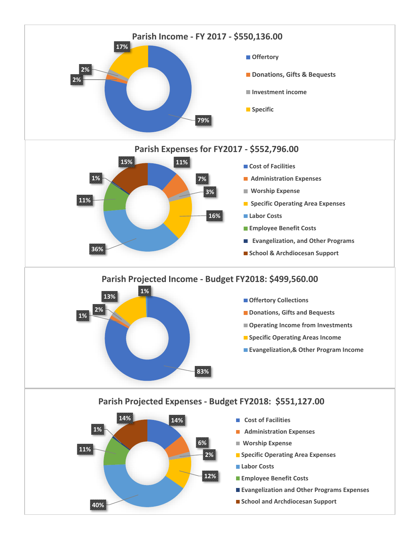